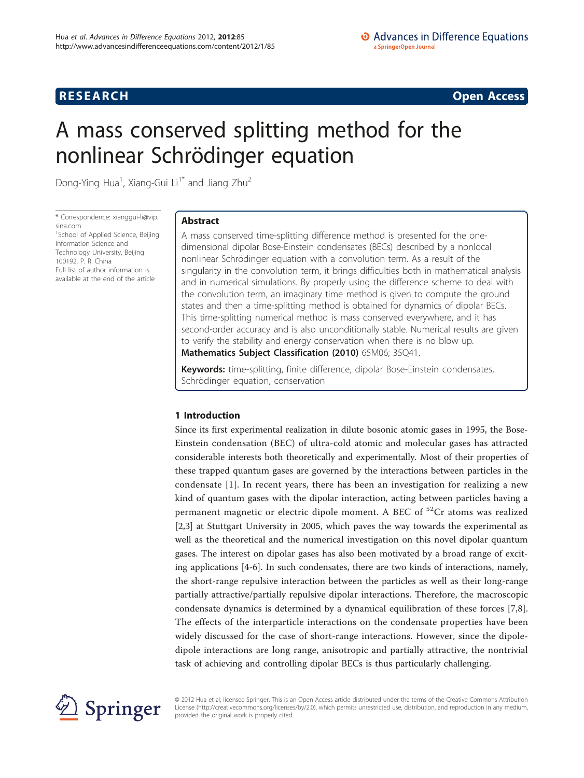## **RESEARCH CONSTRUCTION CONSTRUCTS**

# A mass conserved splitting method for the nonlinear Schrödinger equation

Dong-Ying Hua<sup>1</sup>, Xiang-Gui Li<sup>1\*</sup> and Jiang Zhu<sup>2</sup>

\* Correspondence: [xianggui-li@vip.](mailto:xianggui-li@vip.sina.com) [sina.com](mailto:xianggui-li@vip.sina.com) <sup>1</sup>School of Applied Science, Beijing

Information Science and Technology University, Beijing 100192, P. R. China Full list of author information is available at the end of the article

### Abstract

A mass conserved time-splitting difference method is presented for the onedimensional dipolar Bose-Einstein condensates (BECs) described by a nonlocal nonlinear Schrödinger equation with a convolution term. As a result of the singularity in the convolution term, it brings difficulties both in mathematical analysis and in numerical simulations. By properly using the difference scheme to deal with the convolution term, an imaginary time method is given to compute the ground states and then a time-splitting method is obtained for dynamics of dipolar BECs. This time-splitting numerical method is mass conserved everywhere, and it has second-order accuracy and is also unconditionally stable. Numerical results are given to verify the stability and energy conservation when there is no blow up. Mathematics Subject Classification (2010) 65M06; 35Q41.

Keywords: time-splitting, finite difference, dipolar Bose-Einstein condensates, Schrödinger equation, conservation

### 1 Introduction

Since its first experimental realization in dilute bosonic atomic gases in 1995, the Bose-Einstein condensation (BEC) of ultra-cold atomic and molecular gases has attracted considerable interests both theoretically and experimentally. Most of their properties of these trapped quantum gases are governed by the interactions between particles in the condensate [\[1\]](#page-12-0). In recent years, there has been an investigation for realizing a new kind of quantum gases with the dipolar interaction, acting between particles having a permanent magnetic or electric dipole moment. A BEC of  ${}^{52}Cr$  atoms was realized [[2,3\]](#page-12-0) at Stuttgart University in 2005, which paves the way towards the experimental as well as the theoretical and the numerical investigation on this novel dipolar quantum gases. The interest on dipolar gases has also been motivated by a broad range of exciting applications [\[4](#page-12-0)-[6\]](#page-12-0). In such condensates, there are two kinds of interactions, namely, the short-range repulsive interaction between the particles as well as their long-range partially attractive/partially repulsive dipolar interactions. Therefore, the macroscopic condensate dynamics is determined by a dynamical equilibration of these forces [[7,8](#page-12-0)]. The effects of the interparticle interactions on the condensate properties have been widely discussed for the case of short-range interactions. However, since the dipoledipole interactions are long range, anisotropic and partially attractive, the nontrivial task of achieving and controlling dipolar BECs is thus particularly challenging.



© 2012 Hua et al; licensee Springer. This is an Open Access article distributed under the terms of the Creative Commons Attribution License [\(http://creativecommons.org/licenses/by/2.0](http://creativecommons.org/licenses/by/2.0)), which permits unrestricted use, distribution, and reproduction in any medium, provided the original work is properly cited.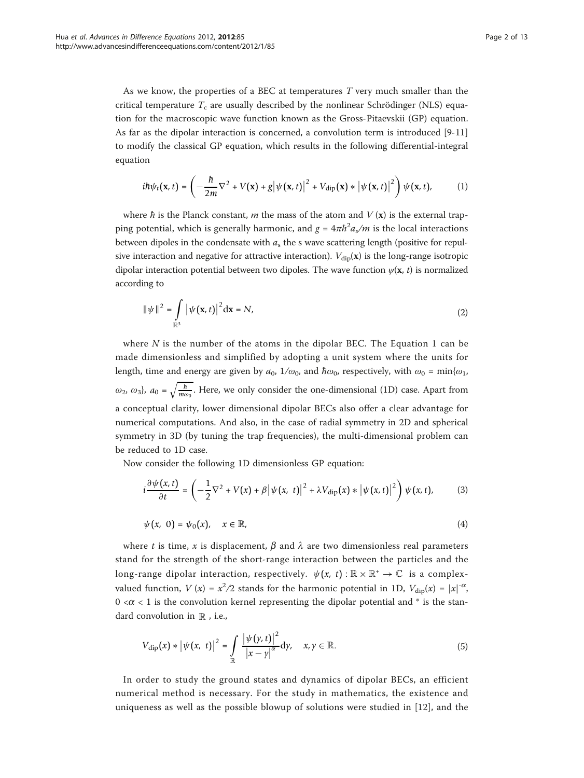As we know, the properties of a BEC at temperatures T very much smaller than the critical temperature  $T_c$  are usually described by the nonlinear Schrödinger (NLS) equation for the macroscopic wave function known as the Gross-Pitaevskii (GP) equation. As far as the dipolar interaction is concerned, a convolution term is introduced [\[9-11](#page-12-0)] to modify the classical GP equation, which results in the following differential-integral equation

$$
i\hbar\psi_t(\mathbf{x},t) = \left(-\frac{\hbar}{2m}\nabla^2 + V(\mathbf{x}) + g\left|\psi(\mathbf{x},t)\right|^2 + V_{\text{dip}}(\mathbf{x}) * \left|\psi(\mathbf{x},t)\right|^2\right)\psi(\mathbf{x},t),\tag{1}
$$

where  $\hbar$  is the Planck constant, m the mass of the atom and  $V(\mathbf{x})$  is the external trapping potential, which is generally harmonic, and  $g = 4\pi\hbar^2 a_s/m$  is the local interactions<br>between divelops in the conductive with a the convex extensive leasth (positive for small between dipoles in the condensate with  $a_s$  the s wave scattering length (positive for repulsive interaction and negative for attractive interaction).  $V_{\text{dip}}(\mathbf{x})$  is the long-range isotropic dipolar interaction potential between two dipoles. The wave function  $\psi(\mathbf{x}, t)$  is normalized according to

$$
\|\psi\|^2 = \int_{\mathbb{R}^3} |\psi(\mathbf{x}, t)|^2 d\mathbf{x} = N,
$$
\n(2)

where  $N$  is the number of the atoms in the dipolar BEC. The Equation 1 can be made dimensionless and simplified by adopting a unit system where the units for length, time and energy are given by  $a_0$ ,  $1/\omega_0$ , and  $\hbar \omega_0$ , respectively, with  $\omega_0 = \min{\omega_1}$ ,  $\omega_2$ ,  $\omega_3$ ,  $a_0 = \sqrt{\frac{h}{m\omega_0}}$ . Here, we only consider the one-dimensional (1D) case. Apart from a conceptual clarity, lower dimensional dipolar BECs also offer a clear advantage for numerical computations. And also, in the case of radial symmetry in 2D and spherical symmetry in 3D (by tuning the trap frequencies), the multi-dimensional problem can be reduced to 1D case.

Now consider the following 1D dimensionless GP equation:

$$
i\frac{\partial\psi(x,t)}{\partial t} = \left(-\frac{1}{2}\nabla^2 + V(x) + \beta\left|\psi(x,t)\right|^2 + \lambda V_{\text{dip}}(x) * \left|\psi(x,t)\right|^2\right)\psi(x,t),\tag{3}
$$

$$
\psi(x, 0) = \psi_0(x), \quad x \in \mathbb{R}, \tag{4}
$$

where t is time, x is displacement,  $\beta$  and  $\lambda$  are two dimensionless real parameters stand for the strength of the short-range interaction between the particles and the long-range dipolar interaction, respectively.  $\psi(x, t) : \mathbb{R} \times \mathbb{R}^+ \to \mathbb{C}$  is a complexvalued function,  $V(x) = x^2/2$  stands for the harmonic potential in 1D,  $V_{\text{dip}}(x) = |x|^{-\alpha}$ ,  $0 \lt \alpha \lt 1$  is the convolution kernel representing the dipolar potential and  $*$  is the standard convolution in  $\mathbb R$  , i.e.,

$$
V_{\text{dip}}(x) * |\psi(x, t)|^2 = \int_{\mathbb{R}} \frac{|\psi(y, t)|^2}{|x - y|^{\alpha}} dy, \quad x, y \in \mathbb{R}.
$$
 (5)

In order to study the ground states and dynamics of dipolar BECs, an efficient numerical method is necessary. For the study in mathematics, the existence and uniqueness as well as the possible blowup of solutions were studied in [\[12\]](#page-12-0), and the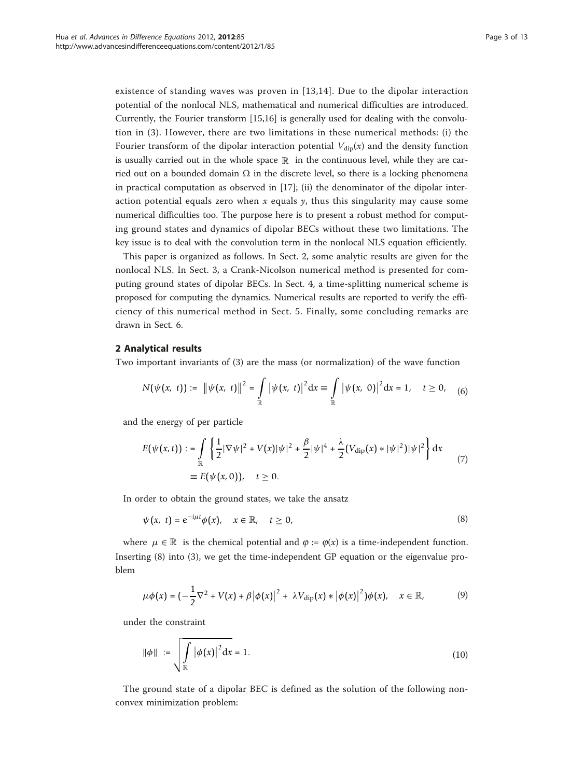existence of standing waves was proven in [[13](#page-12-0),[14](#page-12-0)]. Due to the dipolar interaction potential of the nonlocal NLS, mathematical and numerical difficulties are introduced. Currently, the Fourier transform [[15,16\]](#page-12-0) is generally used for dealing with the convolution in (3). However, there are two limitations in these numerical methods: (i) the Fourier transform of the dipolar interaction potential  $V_{\text{div}}(x)$  and the density function is usually carried out in the whole space  $\mathbb R$  in the continuous level, while they are carried out on a bounded domain  $\Omega$  in the discrete level, so there is a locking phenomena in practical computation as observed in [[17\]](#page-12-0); (ii) the denominator of the dipolar interaction potential equals zero when x equals  $\gamma$ , thus this singularity may cause some numerical difficulties too. The purpose here is to present a robust method for computing ground states and dynamics of dipolar BECs without these two limitations. The key issue is to deal with the convolution term in the nonlocal NLS equation efficiently.

This paper is organized as follows. In Sect. 2, some analytic results are given for the nonlocal NLS. In Sect. 3, a Crank-Nicolson numerical method is presented for computing ground states of dipolar BECs. In Sect. 4, a time-splitting numerical scheme is proposed for computing the dynamics. Numerical results are reported to verify the efficiency of this numerical method in Sect. 5. Finally, some concluding remarks are drawn in Sect. 6.

### 2 Analytical results

Two important invariants of (3) are the mass (or normalization) of the wave function

$$
N(\psi(x, t)) := \|\psi(x, t)\|^2 = \int_{\mathbb{R}} |\psi(x, t)|^2 dx = \int_{\mathbb{R}} |\psi(x, 0)|^2 dx = 1, \quad t \ge 0,
$$
 (6)

and the energy of per particle

$$
E(\psi(x,t)) := \int_{\mathbb{R}} \left\{ \frac{1}{2} |\nabla \psi|^2 + V(x) |\psi|^2 + \frac{\beta}{2} |\psi|^4 + \frac{\lambda}{2} (V_{\text{dip}}(x) * |\psi|^2) |\psi|^2 \right\} dx
$$
  
\n
$$
= E(\psi(x,0)), \quad t \ge 0.
$$
\n(7)

In order to obtain the ground states, we take the ansatz

$$
\psi(x, t) = e^{-i\mu t} \phi(x), \quad x \in \mathbb{R}, \quad t \ge 0,
$$
\n(8)

where  $\mu \in \mathbb{R}$  is the chemical potential and  $\varphi := \varphi(x)$  is a time-independent function. Inserting (8) into (3), we get the time-independent GP equation or the eigenvalue problem

$$
\mu\phi(x) = \left(-\frac{1}{2}\nabla^2 + V(x) + \beta |\phi(x)|^2 + \lambda V_{\text{dip}}(x) * |\phi(x)|^2\right)\phi(x), \quad x \in \mathbb{R},\tag{9}
$$

under the constraint

$$
\|\phi\| := \sqrt{\int_{\mathbb{R}} |\phi(x)|^2 dx} = 1.
$$
 (10)

The ground state of a dipolar BEC is defined as the solution of the following nonconvex minimization problem: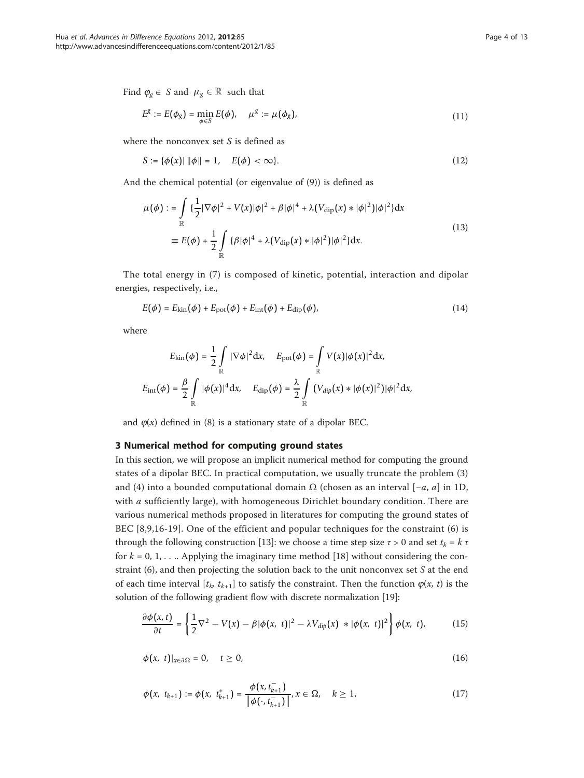Find  $\varphi_{g} \in S$  and  $\mu_{g} \in \mathbb{R}$  such that

$$
E^g := E(\phi_g) = \min_{\phi \in S} E(\phi), \quad \mu^g := \mu(\phi_g), \tag{11}
$$

where the nonconvex set S is defined as

$$
S := \{ \phi(x) | \|\phi\| = 1, \quad E(\phi) < \infty \}. \tag{12}
$$

And the chemical potential (or eigenvalue of (9)) is defined as

$$
\mu(\phi) := \int_{\mathbb{R}} \left\{ \frac{1}{2} |\nabla \phi|^2 + V(x) |\phi|^2 + \beta |\phi|^4 + \lambda (V_{\text{dip}}(x) * |\phi|^2) |\phi|^2 \right\} dx
$$
\n
$$
\equiv E(\phi) + \frac{1}{2} \int_{\mathbb{R}} \left\{ \beta |\phi|^4 + \lambda (V_{\text{dip}}(x) * |\phi|^2) |\phi|^2 \right\} dx.
$$
\n(13)

The total energy in (7) is composed of kinetic, potential, interaction and dipolar energies, respectively, i.e.,

$$
E(\phi) = E_{\text{kin}}(\phi) + E_{\text{pot}}(\phi) + E_{\text{int}}(\phi) + E_{\text{dip}}(\phi),
$$
\n(14)

where

$$
E_{\rm kin}(\phi) = \frac{1}{2} \int_{\mathbb{R}} |\nabla \phi|^2 dx, \quad E_{\rm pot}(\phi) = \int_{\mathbb{R}} V(x) |\phi(x)|^2 dx,
$$
  

$$
E_{\rm int}(\phi) = \frac{\beta}{2} \int_{\mathbb{R}} |\phi(x)|^4 dx, \quad E_{\rm dip}(\phi) = \frac{\lambda}{2} \int_{\mathbb{R}} (V_{dip}(x) * |\phi(x)|^2) |\phi|^2 dx,
$$

and  $\varphi(x)$  defined in (8) is a stationary state of a dipolar BEC.

### 3 Numerical method for computing ground states

In this section, we will propose an implicit numerical method for computing the ground states of a dipolar BEC. In practical computation, we usually truncate the problem (3) and (4) into a bounded computational domain  $\Omega$  (chosen as an interval [ $-a$ ,  $a$ ] in 1D, with  $a$  sufficiently large), with homogeneous Dirichlet boundary condition. There are various numerical methods proposed in literatures for computing the ground states of BEC [\[8,9,16-19](#page-12-0)]. One of the efficient and popular techniques for the constraint (6) is through the following construction [[13\]](#page-12-0): we choose a time step size  $\tau > 0$  and set  $t_k = k \tau$ for  $k = 0, 1, \ldots$  Applying the imaginary time method [[18\]](#page-12-0) without considering the constraint  $(6)$ , and then projecting the solution back to the unit nonconvex set S at the end of each time interval  $[t_k, t_{k+1}]$  to satisfy the constraint. Then the function  $\varphi(x, t)$  is the solution of the following gradient flow with discrete normalization [[19\]](#page-12-0):

$$
\frac{\partial \phi(x,t)}{\partial t} = \left\{ \frac{1}{2} \nabla^2 - V(x) - \beta |\phi(x,t)|^2 - \lambda V_{dip}(x) \ast |\phi(x,t)|^2 \right\} \phi(x,t), \quad (15)
$$

$$
\phi(x, t)|_{x \in \partial \Omega} = 0, \quad t \ge 0,
$$
\n(16)

$$
\phi(x, t_{k+1}) := \phi(x, t_{k+1}^+) = \frac{\phi(x, t_{k+1}^-)}{\|\phi(\cdot, t_{k+1}^-)\|}, x \in \Omega, \quad k \ge 1,
$$
\n(17)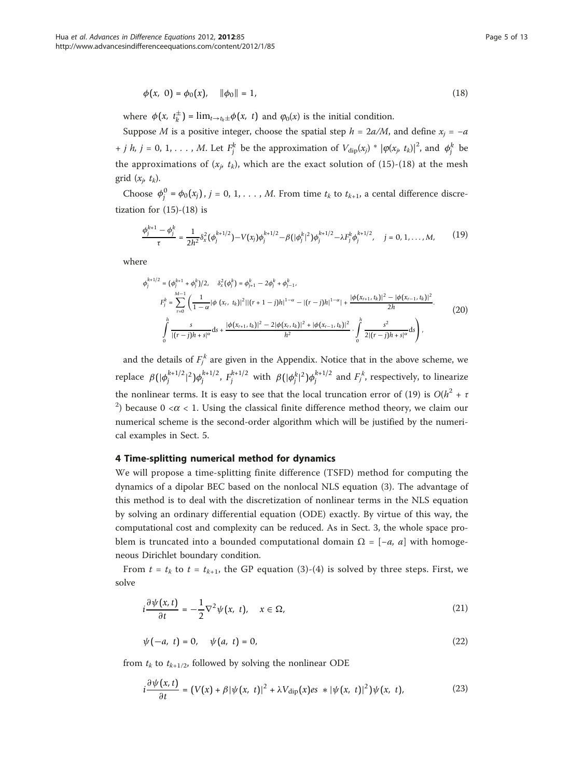$$
\phi(x, 0) = \phi_0(x), \quad \|\phi_0\| = 1,
$$
\n(18)

where  $\phi(x, t_k^{\pm}) = \lim_{t \to t_k \pm} \phi(x, t)$  and  $\phi_0(x)$  is the initial condition.

Suppose M is a positive integer, choose the spatial step  $h = 2a/M$ , and define  $x_i = -a$ + *j h*, *j* = 0, 1, . . . , *M*. Let  $F_j^k$  be the approximation of  $V_{\text{dip}}(x_j) * |\varphi(x_j, t_k)|^2$ , and  $\phi_j^k$  be the approximations of  $(x_p, t_k)$ , which are the exact solution of (15)-(18) at the mesh grid  $(x_i, t_k)$ .

Choose  $\phi_j^0 = \phi_0(x_j)$ ,  $j = 0, 1, ..., M$ . From time  $t_k$  to  $t_{k+1}$ , a cental difference discretization for  $(15)-(18)$  is

$$
\frac{\phi_j^{k+1} - \phi_j^k}{\tau} = \frac{1}{2h^2} \delta_x^2 (\phi_j^{k+1/2}) - V(x_j) \phi_j^{k+1/2} - \beta (|\phi_j^k|^2) \phi_j^{k+1/2} - \lambda F_j^k \phi_j^{k+1/2}, \quad j = 0, 1, ..., M,
$$
(19)

where

$$
\phi_j^{k+1/2} = (\phi_j^{k+1} + \phi_j^k)/2, \quad \delta_x^2(\phi_j^k) = \phi_{j+1}^k - 2\phi_j^k + \phi_{j-1}^k,
$$
\n
$$
F_j^k = \sum_{r=0}^{M-1} \left( \frac{1}{1-\alpha} |\phi(x_r, t_k)|^2 ||(r+1-j)h|^{1-\alpha} - |(r-j)h|^{1-\alpha} + \frac{|\phi(x_{r+1}, t_k)|^2 - |\phi(x_{r-1}, t_k)|^2}{2h} \right).
$$
\n
$$
\int_0^h \frac{s}{|(r-j)h+s|^\alpha} ds + \frac{|\phi(x_{r+1}, t_k)|^2 - 2|\phi(x_r, t_k)|^2 + |\phi(x_{r-1}, t_k)|^2}{h^2} \cdot \int_0^h \frac{s^2}{2|(r-j)h+s|^\alpha} ds \right),
$$
\n(20)

and the details of  $F_j^*$  are given in the Appendix. Notice that in the above scheme, we replace  $β(|φ_j^{k+1/2}|^2)φ_j^{k+1/2}$ ,  $F_j^{k+1/2}$  with  $β(|φ_j^k|^2)φ_j^{k+1/2}$  and  $F_j^k$ , respectively, to linearize the nonlinear terms. It is easy to see that the local truncation error of (19) is  $O(h^2 + \tau)$ <sup>2</sup>) because 0 < $\alpha$  < 1. Using the classical finite difference method theory, we claim our numerical scheme is the second-order algorithm which will be justified by the numerical examples in Sect. 5.

### 4 Time-splitting numerical method for dynamics

We will propose a time-splitting finite difference (TSFD) method for computing the dynamics of a dipolar BEC based on the nonlocal NLS equation (3). The advantage of this method is to deal with the discretization of nonlinear terms in the NLS equation by solving an ordinary differential equation (ODE) exactly. By virtue of this way, the computational cost and complexity can be reduced. As in Sect. 3, the whole space problem is truncated into a bounded computational domain  $\Omega = [-a, a]$  with homogeneous Dirichlet boundary condition.

From  $t = t_k$  to  $t = t_{k+1}$ , the GP equation (3)-(4) is solved by three steps. First, we solve

$$
i\frac{\partial\psi(x,t)}{\partial t} = -\frac{1}{2}\nabla^2\psi(x,t), \quad x \in \Omega,
$$
\n(21)

$$
\psi(-a, t) = 0, \quad \psi(a, t) = 0,
$$
\n(22)

from  $t_k$  to  $t_{k+1/2}$ , followed by solving the nonlinear ODE

$$
i\frac{\partial\psi(x,t)}{\partial t} = \left(V(x) + \beta|\psi(x,t)|^2 + \lambda V_{\text{dip}}(x) \text{es } *|\psi(x,t)|^2\right)\psi(x,t),\tag{23}
$$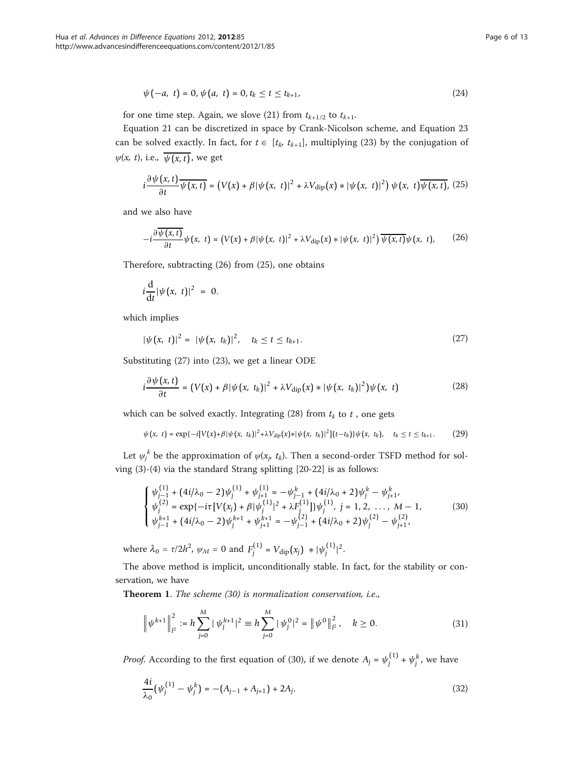$$
\psi(-a, t) = 0, \psi(a, t) = 0, t_k \le t \le t_{k+1}, \tag{24}
$$

for one time step. Again, we slove (21) from  $t_{k+1/2}$  to  $t_{k+1}$ .

Equation 21 can be discretized in space by Crank-Nicolson scheme, and Equation 23 can be solved exactly. In fact, for  $t \in [t_k, t_{k+1}]$ , multiplying (23) by the conjugation of  $\psi(x, t)$ , i.e.,  $\overline{\psi(x, t)}$ , we get

$$
i\frac{\partial\psi(x,t)}{\partial t}\overline{\psi(x,t)} = (V(x)+\beta|\psi(x,t)|^2 + \lambda V_{\text{dip}}(x) * |\psi(x,t)|^2) \psi(x,t)\overline{\psi(x,t)},
$$
 (25)

and we also have

$$
-i\frac{\partial\overline{\psi(x,t)}}{\partial t}\psi(x,\ t) = (V(x)+\beta|\psi(x,\ t)|^2 + \lambda V_{\rm dip}(x) \ast |\psi(x,\ t)|^2)\overline{\psi(x,t)}\psi(x,\ t),\tag{26}
$$

Therefore, subtracting (26) from (25), one obtains

$$
i\frac{\mathrm{d}}{\mathrm{d}t}|\psi(x, t)|^2 = 0.
$$

which implies

$$
|\psi(x, t)|^2 = |\psi(x, t_k)|^2, \quad t_k \le t \le t_{k+1}.
$$
\n(27)

Substituting (27) into (23), we get a linear ODE

$$
i\frac{\partial\psi(x,t)}{\partial t} = (V(x) + \beta|\psi(x,t_k)|^2 + \lambda V_{\text{dip}}(x) * |\psi(x,t_k)|^2)\psi(x,t)
$$
 (28)

which can be solved exactly. Integrating (28) from  $t_k$  to  $t$ , one gets

 $\psi(x, t) = \exp\{-i[V(x) + \beta |\psi(x, t_k)|^2 + \lambda V_{dip}(x) * |\psi(x, t_k)|^2](t - t_k)\}\psi(x, t_k), \quad t_k \le t \le t_{k+1}.$  (29)

Let  $\psi_j^k$  be the approximation of  $\psi(x_j, t_k)$ . Then a second-order TSFD method for sol-<br> $\psi_j^k$  be the standard form a sulliting [20, 22] is a follower ving (3)-(4) via the standard Strang splitting [\[20-22](#page-12-0)] is as follows:

$$
\begin{cases}\n\psi_{j-1}^{(1)} + (4i/\lambda_0 - 2)\psi_j^{(1)} + \psi_{j+1}^{(1)} = -\psi_{j-1}^k + (4i/\lambda_0 + 2)\psi_j^k - \psi_{j+1}^k, \\
\psi_j^{(2)} = \exp\{-i\tau[V(x_j) + \beta]\psi_j^{(1)}|^2 + \lambda F_j^{(1)}\}\psi_j^{(1)}, \ j = 1, 2, ..., M - 1, \\
\psi_{j-1}^{k+1} + (4i/\lambda_0 - 2)\psi_j^{k+1} + \psi_{j+1}^{k+1} = -\psi_{j-1}^{(2)} + (4i/\lambda_0 + 2)\psi_j^{(2)} - \psi_{j+1}^{(2)},\n\end{cases}
$$
\n(30)

where  $\lambda_0 = \tau/2h^2$ ,  $\psi_M = 0$  and  $F_j^{(1)} = V_{\text{dip}}(x_j) \, * |\psi_j^{(1)}|^2$ .

The above method is implicit, unconditionally stable. In fact, for the stability or conservation, we have

Theorem 1. The scheme (30) is normalization conservation, i.e.,

$$
\left\|\psi^{k+1}\right\|_{l^2}^2 := h\sum_{j=0}^M |\psi_j^{k+1}|^2 \equiv h\sum_{j=0}^M |\psi_j^0|^2 = \left\|\psi^0\right\|_{l^2}^2, \quad k \ge 0. \tag{31}
$$

*Proof.* According to the first equation of (30), if we denote  $A_j = \psi_j^{(1)} + \psi_j^k$ , we have

$$
\frac{4i}{\lambda_0} \left( \psi_j^{(1)} - \psi_j^k \right) = -\left( A_{j-1} + A_{j+1} \right) + 2A_j. \tag{32}
$$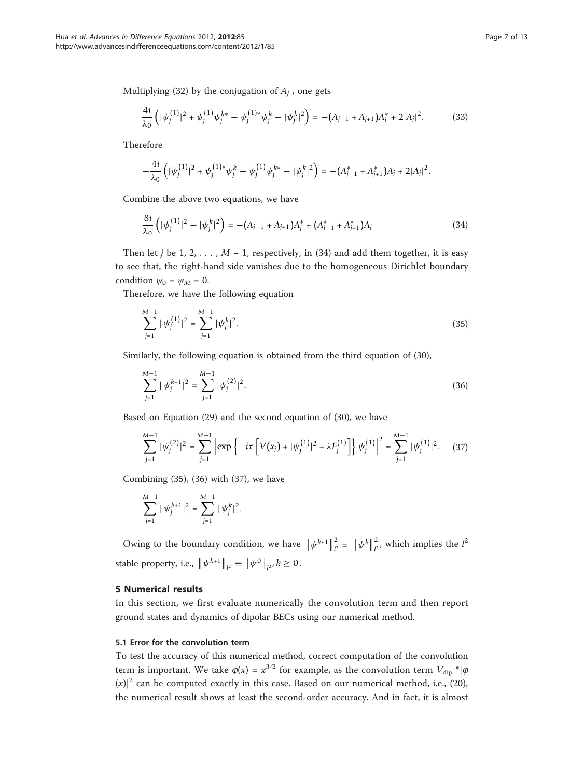Multiplying (32) by the conjugation of  $A_i$ , one gets

$$
\frac{4i}{\lambda_0} \left( |\psi_j^{(1)}|^2 + \psi_j^{(1)} \psi_j^{k*} - \psi_j^{(1)*} \psi_j^k - |\psi_j^k|^2 \right) = -(A_{j-1} + A_{j+1})A_j^* + 2|A_j|^2. \tag{33}
$$

Therefore

$$
-\frac{4i}{\lambda_0}\left(|\psi_j^{(1)}|^2+\psi_j^{(1)*}\psi_j^k-\psi_j^{(1)}\psi_j^{k*}-|\psi_j^k|^2\right) = -(A_{j-1}^*+A_{j+1}^*)A_j+2|A_j|^2.
$$

Combine the above two equations, we have

$$
\frac{8i}{\lambda_0} \left( |\psi_j^{(1)}|^2 - |\psi_j^k|^2 \right) = -(A_{j-1} + A_{j+1})A_j^* + (A_{j-1}^* + A_{j+1}^*)A_j \tag{34}
$$

Then let j be 1, 2, . . . ,  $M - 1$ , respectively, in (34) and add them together, it is easy to see that, the right-hand side vanishes due to the homogeneous Dirichlet boundary condition  $\psi_0 = \psi_M = 0$ .

Therefore, we have the following equation

$$
\sum_{j=1}^{M-1} |\psi_j^{(1)}|^2 = \sum_{j=1}^{M-1} |\psi_j^k|^2.
$$
\n(35)

Similarly, the following equation is obtained from the third equation of (30),

$$
\sum_{j=1}^{M-1} |\psi_j^{k+1}|^2 = \sum_{j=1}^{M-1} |\psi_j^{(2)}|^2.
$$
 (36)

Based on Equation (29) and the second equation of (30), we have

$$
\sum_{j=1}^{M-1} |\psi_j^{(2)}|^2 = \sum_{j=1}^{M-1} \left| \exp\left\{-i\tau \left[ V(x_j) + |\psi_j^{(1)}|^2 + \lambda F_j^{(1)} \right] \right\} \psi_j^{(1)} \right|^2 = \sum_{j=1}^{M-1} |\psi_j^{(1)}|^2. \tag{37}
$$

Combining (35), (36) with (37), we have

$$
\sum_{j=1}^{M-1} |\psi_j^{k+1}|^2 = \sum_{j=1}^{M-1} |\psi_j^k|^2.
$$

Owing to the boundary condition, we have  $\|\psi^{k+1}\|_{l^2}^2 = \|\psi^k\|_{l^2}^2$ , which implies the  $l^2$ stable property, i.e.,  $\|\psi^{k+1}\|_{l^2} \equiv \|\psi^0\|_{l^2}, k \ge 0$ .

### 5 Numerical results

In this section, we first evaluate numerically the convolution term and then report ground states and dynamics of dipolar BECs using our numerical method.

### 5.1 Error for the convolution term

To test the accuracy of this numerical method, correct computation of the convolution term is important. We take  $\varphi(x) = x^{3/2}$  for example, as the convolution term  $V_{\text{dip}}$  \*| $\varphi$  $(x)|^2$  can be computed exactly in this case. Based on our numerical method, i.e., (20), the numerical result shows at least the second-order accuracy. And in fact, it is almost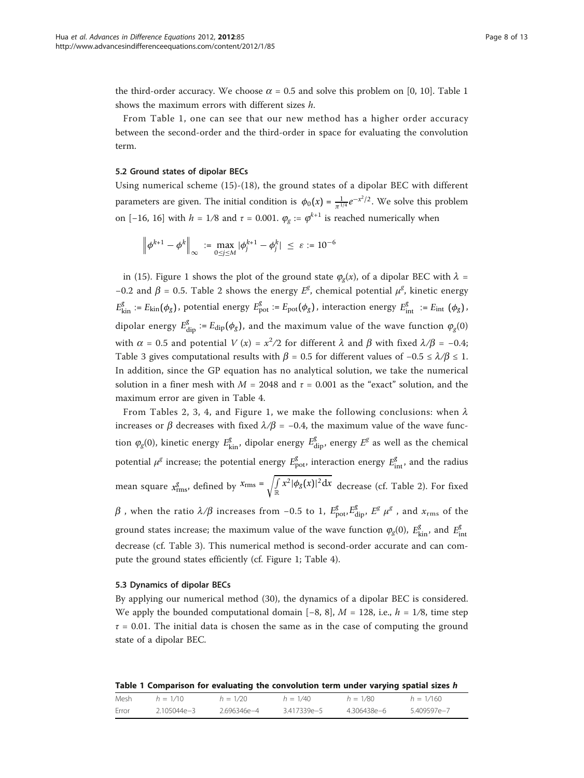the third-order accuracy. We choose  $\alpha = 0.5$  and solve this problem on [0, 10]. Table 1 shows the maximum errors with different sizes h.

From Table 1, one can see that our new method has a higher order accuracy between the second-order and the third-order in space for evaluating the convolution term.

### 5.2 Ground states of dipolar BECs

Using numerical scheme (15)-(18), the ground states of a dipolar BEC with different parameters are given. The initial condition is  $\phi_0(x) = \frac{1}{\pi^{1/4}} e^{-x^2/2}$ . We solve this problem on [−16, 16] with  $h = 1/8$  and  $\tau = 0.001$ .  $\varphi_{g} := \varphi^{k+1}$  is reached numerically when

$$
\left\| \phi^{k+1} - \phi^k \right\|_{\infty} := \max_{0 \le j \le M} |\phi_j^{k+1} - \phi_j^k| \le \varepsilon := 10^{-6}
$$

in (15). Figure [1](#page-8-0) shows the plot of the ground state  $\varphi_{\varphi}(x)$ , of a dipolar BEC with  $\lambda =$ −0.2 and  $\beta$  = 0.5. Table [2](#page-8-0) shows the energy  $E^g$ , chemical potential  $\mu^g$ , kinetic energy  $E_{\text{kin}}^g := E_{\text{kin}}(\phi_g)$ , potential energy  $E_{\text{pot}}^g := E_{\text{pot}}(\phi_g)$ , interaction energy  $E_{\text{int}}^g := E_{\text{int}}(\phi_g)$ , dipolar energy  $E_{\text{dip}}^g := E_{\text{dip}}(\phi_g)$ , and the maximum value of the wave function  $\varphi_g(0)$ with  $\alpha = 0.5$  and potential  $V(x) = x^2/2$  for different  $\lambda$  and  $\beta$  with fixed  $\lambda/\beta = -0.4$ ;<br>Table 2 gives connectating a produce with  $\beta = 0.5$  for different values of  $0.05 \times 1/\beta \le 1$ . Table [3](#page-9-0) gives computational results with  $\beta = 0.5$  for different values of  $-0.5 \le \lambda/\beta \le 1$ . In addition, since the GP equation has no analytical solution, we take the numerical solution in a finer mesh with  $M = 2048$  and  $\tau = 0.001$  as the "exact" solution, and the maximum error are given in Table [4.](#page-9-0)

From Tables [2,](#page-8-0) [3](#page-9-0), [4,](#page-9-0) and Figure [1](#page-8-0), we make the following conclusions: when  $\lambda$ increases or  $\beta$  decreases with fixed  $\lambda/\beta$  = −0.4, the maximum value of the wave function  $\varphi_g(0)$ , kinetic energy  $E_{\rm kin}^g$ , dipolar energy  $E_{\rm dip}^g$ , energy  $E^g$  as well as the chemical potential  $\mu^g$  increase; the potential energy  $E_{\text{pot}}^g$ , interaction energy  $E_{\text{int}}^g$ , and the radius mean square  $x_{\text{rms}}^g$ , defined by  $x_{\text{rms}} = \sqrt{\int_{\mathbb{R}} x^2 |\phi_g(x)|^2 dx}$  decrease (cf. Table [2\)](#page-8-0). For fixed  $β$  , when the ratio  $λ/β$  increases from −0.5 to 1,  $E_{pot}^g$ ,  $E_{dip}^g$ ,  $E_g^g$   $μ_g^g$  , and  $x_{rms}$  of the ground states increase; the maximum value of the wave function  $\varphi_g(0)$ ,  $E_{\text{kin}}^g$ , and  $E_{\text{int}}^g$ decrease (cf. Table [3\)](#page-9-0). This numerical method is second-order accurate and can compute the ground states efficiently (cf. Figure [1](#page-8-0); Table [4\)](#page-9-0).

#### 5.3 Dynamics of dipolar BECs

By applying our numerical method (30), the dynamics of a dipolar BEC is considered. We apply the bounded computational domain  $[-8, 8]$ ,  $M = 128$ , i.e.,  $h = 1/8$ , time step  $\tau = 0.01$ . The initial data is chosen the same as in the case of computing the ground state of a dipolar BEC.

|  |  |  |  |  | Table 1 Comparison for evaluating the convolution term under varying spatial sizes h |
|--|--|--|--|--|--------------------------------------------------------------------------------------|
|--|--|--|--|--|--------------------------------------------------------------------------------------|

| Mesh  | $h = 1/10$  | $h = 1/20$  | $h = 1/40$  | $h = 1/80$  | $h = 1/160$ |
|-------|-------------|-------------|-------------|-------------|-------------|
| Frror | 2.105044e-3 | 2.696346e-4 | 3.417339e-5 | 4.306438e-6 | 5.409597e-7 |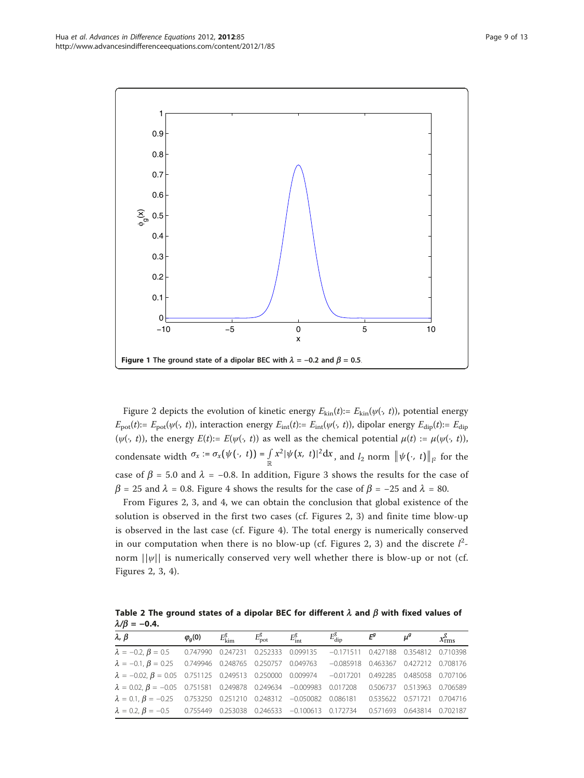<span id="page-8-0"></span>

Figure [2](#page-9-0) depicts the evolution of kinetic energy  $E_{kin}(t) := E_{kin}(\psi(\cdot, t))$ , potential energy  $E_{pot}(t) := E_{pot}(\psi(\cdot, t))$ , interaction energy  $E_{int}(t) := E_{int}(\psi(\cdot, t))$ , dipolar energy  $E_{dip}(t) := E_{dip}$ ( $\psi(\cdot, t)$ ), the energy  $E(t) := E(\psi(\cdot, t))$  as well as the chemical potential  $\mu(t) := \mu(\psi(\cdot, t))$ , condensate width  $\sigma_x := \sigma_x(\psi(\cdot, t)) = \int_{\mathbb{R}} x^2 |\psi(x, t)|^2 dx$ , and  $l_2$  norm  $\|\psi(\cdot, t)\|_{l^2}$  for the case of  $\beta$  = 5.0 and  $\lambda$  = −0.8. In addition, Figure [3](#page-9-0) shows the results for the case of  $\beta$  = 25 and  $\lambda$  = 0.8. Figure [4](#page-10-0) shows the results for the case of  $\beta$  = −25 and  $\lambda$  = 80.

From Figures [2](#page-9-0), [3,](#page-9-0) and [4](#page-10-0), we can obtain the conclusion that global existence of the solution is observed in the first two cases (cf. Figures [2, 3\)](#page-9-0) and finite time blow-up is observed in the last case (cf. Figure [4\)](#page-10-0). The total energy is numerically conserved in our computation when there is no blow-up (cf. Figures [2, 3\)](#page-9-0) and the discrete  $l^2$ norm  $||\psi||$  is numerically conserved very well whether there is blow-up or not (cf. Figures [2](#page-9-0), [3,](#page-9-0) [4](#page-10-0)).

Table 2 The ground states of a dipolar BEC for different  $\lambda$  and  $\beta$  with fixed values of  $\lambda/\beta = -0.4$ .

| $\lambda$ , $\beta$                                                                                         | $\varphi$ <sub>a</sub> (0) | $E_{\rm kim}^g$ | $E_{\rm pot}^g$ | $E_{\text{int}}^g$ | $E_{\rm dip}^g$                        | $E^g$ | $\mu^g$ | $x_{\text{rms}}^g$ |
|-------------------------------------------------------------------------------------------------------------|----------------------------|-----------------|-----------------|--------------------|----------------------------------------|-------|---------|--------------------|
| $\lambda = -0.2, \beta = 0.5$ 0.747990 0.247231 0.252333 0.099135                                           |                            |                 |                 |                    | $-0.171511$ 0.427188 0.354812 0.710398 |       |         |                    |
| $\lambda = -0.1, \beta = 0.25$ 0.749946 0.248765 0.250757 0.049763                                          |                            |                 |                 |                    | $-0.085918$ 0.463367 0.427212 0.708176 |       |         |                    |
| $\lambda = -0.02$ , $\beta = 0.05$ 0.751125 0.249513 0.250000 0.009974 -0.017201 0.492285 0.485058 0.707106 |                            |                 |                 |                    |                                        |       |         |                    |
| $\lambda = 0.02$ , $\beta = -0.05$ 0.751581 0.249878 0.249634 -0.009983 0.017208 0.506737 0.513963 0.706589 |                            |                 |                 |                    |                                        |       |         |                    |
| $\lambda = 0.1, \beta = -0.25$ 0.753250 0.251210 0.248312 -0.050082 0.086181 0.535622 0.571721 0.704716     |                            |                 |                 |                    |                                        |       |         |                    |
| $\lambda = 0.2$ , $\beta = -0.5$ 0.755449 0.253038 0.246533 -0.100613 0.172734 0.571693 0.643814 0.702187   |                            |                 |                 |                    |                                        |       |         |                    |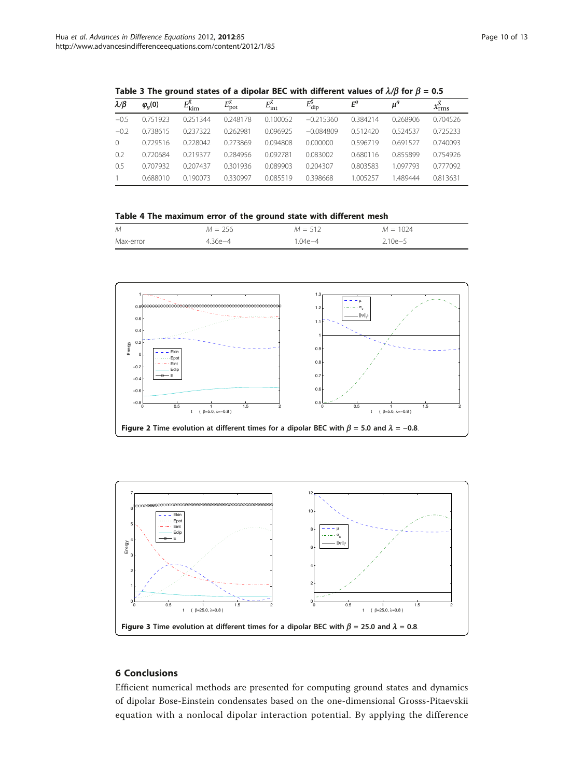| $\lambda/\beta$ | $\varphi_q(0)$ | $E_{\rm kim}^g$ | $E_{\text{pot}}^g$ | $E^g_{\rm int}$ | $E_{\rm dip}^{\rm g}$ | $E^g$    | $\mu^g$  | $x^g_{\rm rms}$ |
|-----------------|----------------|-----------------|--------------------|-----------------|-----------------------|----------|----------|-----------------|
| $-0.5$          | 0.751923       | 0.251344        | 0.248178           | 0.100052        | $-0.215360$           | 0.384214 | 0.268906 | 0.704526        |
| $-0.2$          | 0.738615       | 0237322         | 0.262981           | 0.096925        | $-0.084809$           | 0.512420 | 0524537  | 0.725233        |
| $\Omega$        | 0.729516       | 0.228042        | 0.273869           | 0.094808        | 0.000000              | 0.596719 | 0.691527 | 0.740093        |
| 0.2             | 0.720684       | 0.219377        | 0.284956           | 0.092781        | 0.083002              | 0.680116 | 0.855899 | 0754926         |
| 0.5             | 0.707932       | 0.207437        | 0301936            | 0.089903        | 0.204307              | 0.803583 | 1097793  | 0.777092        |
|                 | 0.688010       | 0.190073        | 0330997            | 0085519         | 0.398668              | 1 005257 | 489444   | 0.813631        |

<span id="page-9-0"></span>Table 3 The ground states of a dipolar BEC with different values of  $\lambda/\beta$  for  $\beta = 0.5$ 

Table 4 The maximum error of the ground state with different mesh

| M         | $M = 256$   | $M = 512$ | $M = 1024$  |
|-----------|-------------|-----------|-------------|
| Max-error | $4.36e - 4$ | $04e-4$   | $2.10e - 5$ |





### 6 Conclusions

Efficient numerical methods are presented for computing ground states and dynamics of dipolar Bose-Einstein condensates based on the one-dimensional Grosss-Pitaevskii equation with a nonlocal dipolar interaction potential. By applying the difference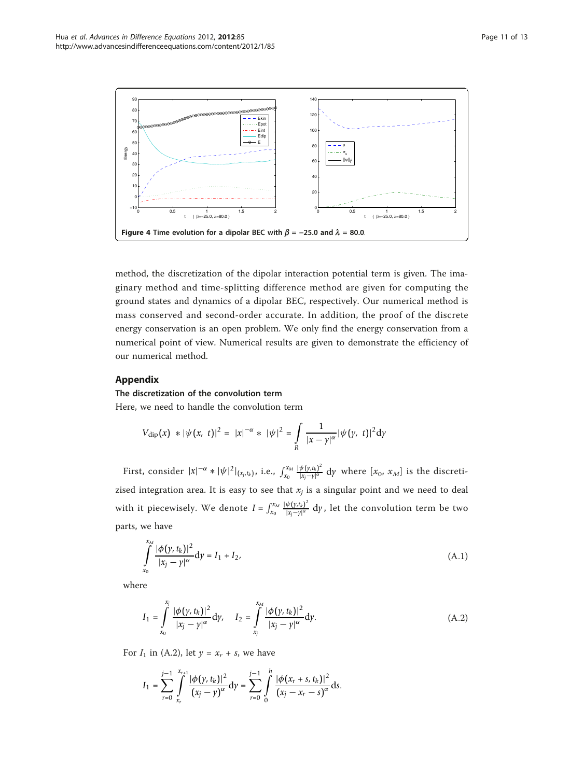<span id="page-10-0"></span>

method, the discretization of the dipolar interaction potential term is given. The imaginary method and time-splitting difference method are given for computing the ground states and dynamics of a dipolar BEC, respectively. Our numerical method is mass conserved and second-order accurate. In addition, the proof of the discrete energy conservation is an open problem. We only find the energy conservation from a numerical point of view. Numerical results are given to demonstrate the efficiency of our numerical method.

### Appendix

#### The discretization of the convolution term

Here, we need to handle the convolution term

$$
V_{\text{dip}}(x) * |\psi(x, t)|^2 = |x|^{-\alpha} * |\psi|^2 = \int_{R} \frac{1}{|x - y|^{\alpha}} |\psi(y, t)|^2 dy
$$

First, consider  $|x|^{-\alpha} * |\psi|^2|_{(x_j,t_k)}$ , i.e.,  $\int_{x_0}^{x_M} \frac{|\psi(y,t_k)|^2}{|x_j - y|^\alpha} dy$  where  $[x_0, x_M]$  is the discretizised integration area. It is easy to see that  $x_j$  is a singular point and we need to deal with it piecewisely. We denote  $I = \int_{x_0}^{x_M} \frac{|\psi(y,t_k)|^2}{|x_j-y|^\alpha} \, \mathrm{d}y$ , let the convolution term be two parts, we have

$$
\int_{x_0}^{x_M} \frac{|\phi(y, t_k)|^2}{|x_j - y|^{\alpha}} dy = I_1 + I_2,
$$
\n(A.1)

where

$$
I_1 = \int_{x_0}^{x_j} \frac{|\phi(y, t_k)|^2}{|x_j - y|^{\alpha}} dy, \quad I_2 = \int_{x_j}^{x_M} \frac{|\phi(y, t_k)|^2}{|x_j - y|^{\alpha}} dy.
$$
 (A.2)

For  $I_1$  in (A.2), let  $y = x_r + s$ , we have

$$
I_1 = \sum_{r=0}^{j-1} \int_{x_r}^{x_{r+1}} \frac{|\phi(y, t_k)|^2}{(x_j - y)^\alpha} \, \mathrm{d}y = \sum_{r=0}^{j-1} \int_0^h \frac{|\phi(x_r + s, t_k)|^2}{(x_j - x_r - s)^\alpha} \, \mathrm{d}s.
$$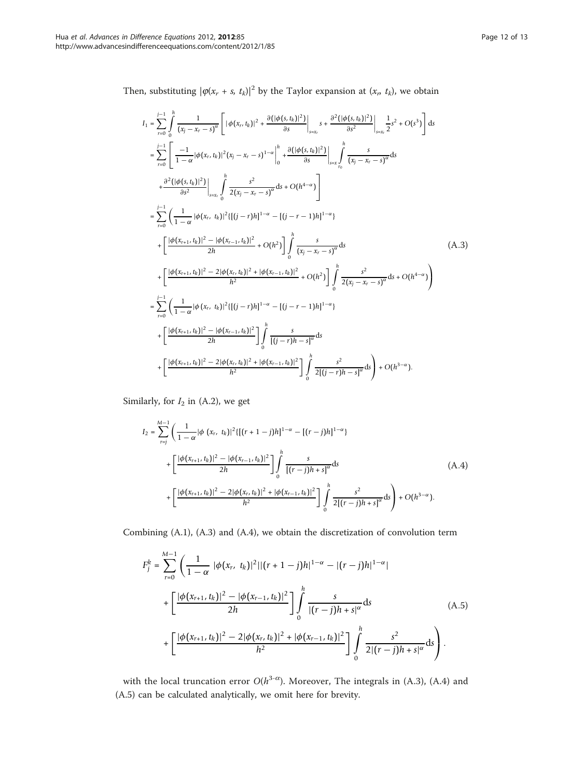Then, substituting  $|\varphi(x_r + s, t_k)|^2$  by the Taylor expansion at  $(x_r, t_k)$ , we obtain

$$
I_{1} = \sum_{r=0}^{j-1} \int_{0}^{h} \frac{1}{(x_{j} - x_{r} - s)^{\alpha}} \left[ |\phi(x_{r}, t_{k})|^{2} + \frac{\partial (|\phi(s, t_{k})|^{2})}{\partial s} \right]_{s=x_{r}} s + \frac{\partial^{2} (|\phi(s, t_{k})|^{2})}{\partial s^{2}} \Big|_{s=x_{r}} \frac{1}{2}s^{2} + O(s^{3}) \Big] ds
$$
  
\n
$$
= \sum_{r=0}^{j-1} \left[ \frac{-1}{1-\alpha} |\phi(x_{r}, t_{k})|^{2} (x_{j} - x_{r} - s)^{1-\alpha} \Big|_{0}^{h} + \frac{\partial (|\phi(s, t_{k})|^{2})}{\partial s} \Big|_{s=x_{r}} \int_{t_{0}}^{h} \frac{s}{(x_{j} - x_{r} - s)^{\alpha}} ds
$$
  
\n
$$
+ \frac{\partial^{2} (|\phi(s, t_{k})|^{2})}{\partial s^{2}} \Big|_{s=x_{r}} \int_{0}^{h} \frac{s^{2}}{2(x_{j} - x_{r} - s)^{\alpha}} ds + O(h^{4-\alpha}) \Big]
$$
  
\n
$$
= \sum_{r=0}^{j-1} \left( \frac{1}{1-\alpha} |\phi(x_{r}, t_{k})|^{2} \{[(j-r)h]^{1-\alpha} - [(j-r-1)h]^{1-\alpha} \} \right)
$$
  
\n
$$
+ \left[ \frac{|\phi(x_{r+1}, t_{k})|^{2} - |\phi(x_{r-1}, t_{k})|^{2}}{2h} + O(h^{2}) \right] \int_{0}^{h} \frac{s}{(x_{j} - x_{r} - s)^{\alpha}} ds
$$
  
\n
$$
+ \left[ \frac{|\phi(x_{r+1}, t_{k})|^{2} - 2|\phi(x_{r}, t_{k})|^{2} + |\phi(x_{r-1}, t_{k})|^{2}}{h^{2}} + O(h^{2}) \right] \int_{0}^{h} \frac{s^{2}}{2(x_{j} - x_{r} - s)^{\alpha}} ds + O(h^{4-\alpha}) \Big)
$$
  
\n
$$
= \sum_{r=0}^{j-1} \left( \frac{1}{1-\alpha} |\phi(x_{r}, t_{k})|^{2} \{[(j-r)h]^{1-\alpha} - [(j-r-1)h]
$$

Similarly, for  $I_2$  in (A.2), we get

$$
I_{2} = \sum_{r=j}^{M-1} \left( \frac{1}{1-\alpha} |\phi (x_{r}, t_{k})|^{2} \{[(r+1-j)h]^{1-\alpha} - [(r-j)h]^{1-\alpha} \} \right)
$$
  
+ 
$$
\left[ \frac{|\phi (x_{r+1}, t_{k})|^{2} - |\phi (x_{r-1}, t_{k})|^{2}}{2h} \right] \int_{0}^{h} \frac{s}{[(r-j)h+s]^{\alpha}} ds
$$
  
+ 
$$
\left[ \frac{|\phi (x_{r+1}, t_{k})|^{2} - 2|\phi (x_{r}, t_{k})|^{2} + |\phi (x_{r-1}, t_{k})|^{2}}{h^{2}} \right] \int_{0}^{h} \frac{s^{2}}{2[(r-j)h+s]^{\alpha}} ds + O(h^{3-\alpha}).
$$
 (A.4)

Combining (A.1), (A.3) and (A.4), we obtain the discretization of convolution term

$$
F_{j}^{k} = \sum_{r=0}^{M-1} \left( \frac{1}{1-\alpha} |\phi(x_{r}, t_{k})|^{2} ||(r+1-j)h|^{1-\alpha} - |(r-j)h|^{1-\alpha} \right)
$$
  
+ 
$$
\left[ \frac{|\phi(x_{r+1}, t_{k})|^{2} - |\phi(x_{r-1}, t_{k})|^{2}}{2h} \right] \int_{0}^{h} \frac{s}{|(r-j)h+s|^{\alpha}} ds
$$
  
+ 
$$
\left[ \frac{|\phi(x_{r+1}, t_{k})|^{2} - 2|\phi(x_{r}, t_{k})|^{2} + |\phi(x_{r-1}, t_{k})|^{2}}{h^{2}} \right] \int_{0}^{h} \frac{s^{2}}{2|(r-j)h+s|^{\alpha}} ds.
$$
 (A.5)

with the local truncation error  $O(h^{3-\alpha})$ . Moreover, The integrals in (A.3), (A.4) and (A.5) can be calculated analytically, we omit here for brevity.